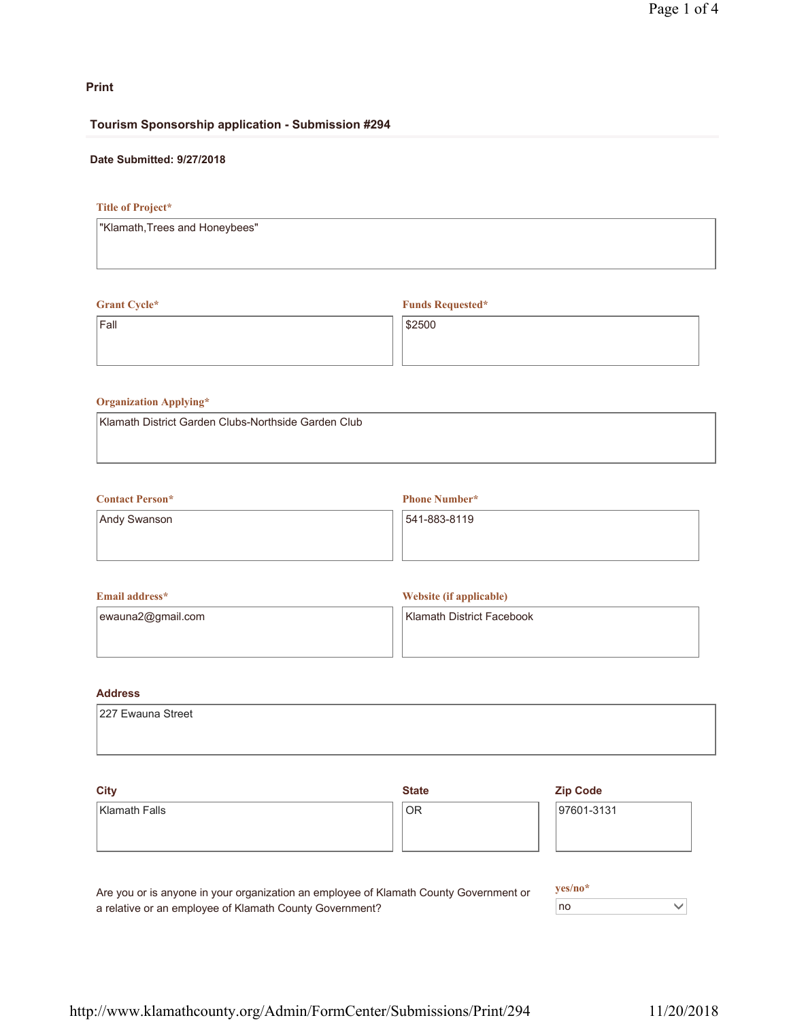## **Print**

## **Tourism Sponsorship application - Submission #294**

## **Date Submitted: 9/27/2018**

## **Title of Project\***

## **Grant Cycle\***

Fall

**Funds Requested\***

\$2500

# **Organization Applying\***

Klamath District Garden Clubs-Northside Garden Club

# **Contact Person\*** Andy Swanson

**Phone Number\***

541-883-8119

| <b>Email address*</b> | Website (if applicable)   |
|-----------------------|---------------------------|
| ewauna2@gmail.com     | Klamath District Facebook |

## **Address**

| 227 Ewauna Street |
|-------------------|
|                   |
|                   |

| <b>City</b>                                                                           | <b>State</b> | <b>Zip Code</b> |
|---------------------------------------------------------------------------------------|--------------|-----------------|
| Klamath Falls                                                                         | <b>OR</b>    | 97601-3131      |
|                                                                                       |              |                 |
|                                                                                       |              |                 |
|                                                                                       |              |                 |
| Are vou or is anyone in vour organization an employee of Klamath County Government or | $ves/no*$    |                 |

Are you or is anyone in your organization an employee of Klamath County Government or a relative or an employee of Klamath County Government?

no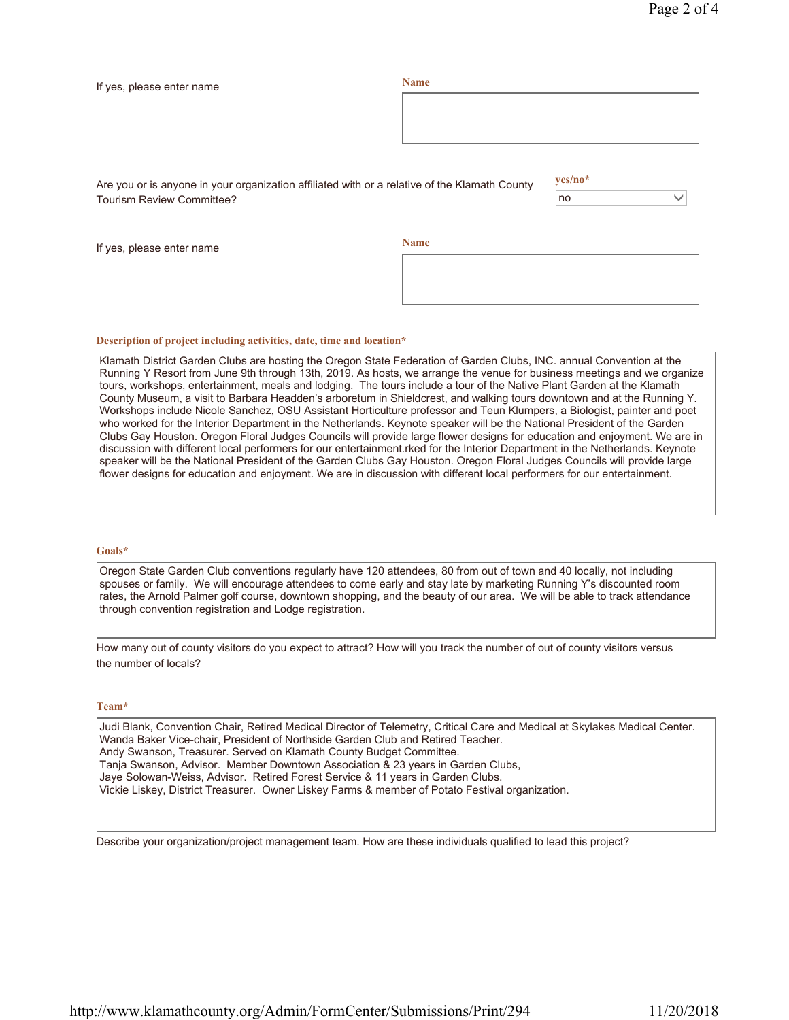| If yes, please enter name                                                                                                         | <b>Name</b> |         |  |
|-----------------------------------------------------------------------------------------------------------------------------------|-------------|---------|--|
|                                                                                                                                   |             |         |  |
|                                                                                                                                   |             |         |  |
|                                                                                                                                   |             |         |  |
|                                                                                                                                   |             | yes/no* |  |
| Are you or is anyone in your organization affiliated with or a relative of the Klamath County<br><b>Tourism Review Committee?</b> |             | no      |  |
|                                                                                                                                   |             |         |  |
| If yes, please enter name                                                                                                         | <b>Name</b> |         |  |
|                                                                                                                                   |             |         |  |

#### **Description of project including activities, date, time and location\***

Klamath District Garden Clubs are hosting the Oregon State Federation of Garden Clubs, INC. annual Convention at the Running Y Resort from June 9th through 13th, 2019. As hosts, we arrange the venue for business meetings and we organize tours, workshops, entertainment, meals and lodging. The tours include a tour of the Native Plant Garden at the Klamath County Museum, a visit to Barbara Headden's arboretum in Shieldcrest, and walking tours downtown and at the Running Y. Workshops include Nicole Sanchez, OSU Assistant Horticulture professor and Teun Klumpers, a Biologist, painter and poet who worked for the Interior Department in the Netherlands. Keynote speaker will be the National President of the Garden Clubs Gay Houston. Oregon Floral Judges Councils will provide large flower designs for education and enjoyment. We are in discussion with different local performers for our entertainment.rked for the Interior Department in the Netherlands. Keynote speaker will be the National President of the Garden Clubs Gay Houston. Oregon Floral Judges Councils will provide large flower designs for education and enjoyment. We are in discussion with different local performers for our entertainment.

#### **Goals\***

Oregon State Garden Club conventions regularly have 120 attendees, 80 from out of town and 40 locally, not including spouses or family. We will encourage attendees to come early and stay late by marketing Running Y's discounted room rates, the Arnold Palmer golf course, downtown shopping, and the beauty of our area. We will be able to track attendance through convention registration and Lodge registration.

How many out of county visitors do you expect to attract? How will you track the number of out of county visitors versus the number of locals?

#### **Team\***

Judi Blank, Convention Chair, Retired Medical Director of Telemetry, Critical Care and Medical at Skylakes Medical Center. Wanda Baker Vice-chair, President of Northside Garden Club and Retired Teacher. Andy Swanson, Treasurer. Served on Klamath County Budget Committee. Tanja Swanson, Advisor. Member Downtown Association & 23 years in Garden Clubs, Jaye Solowan-Weiss, Advisor. Retired Forest Service & 11 years in Garden Clubs. Vickie Liskey, District Treasurer. Owner Liskey Farms & member of Potato Festival organization.

Describe your organization/project management team. How are these individuals qualified to lead this project?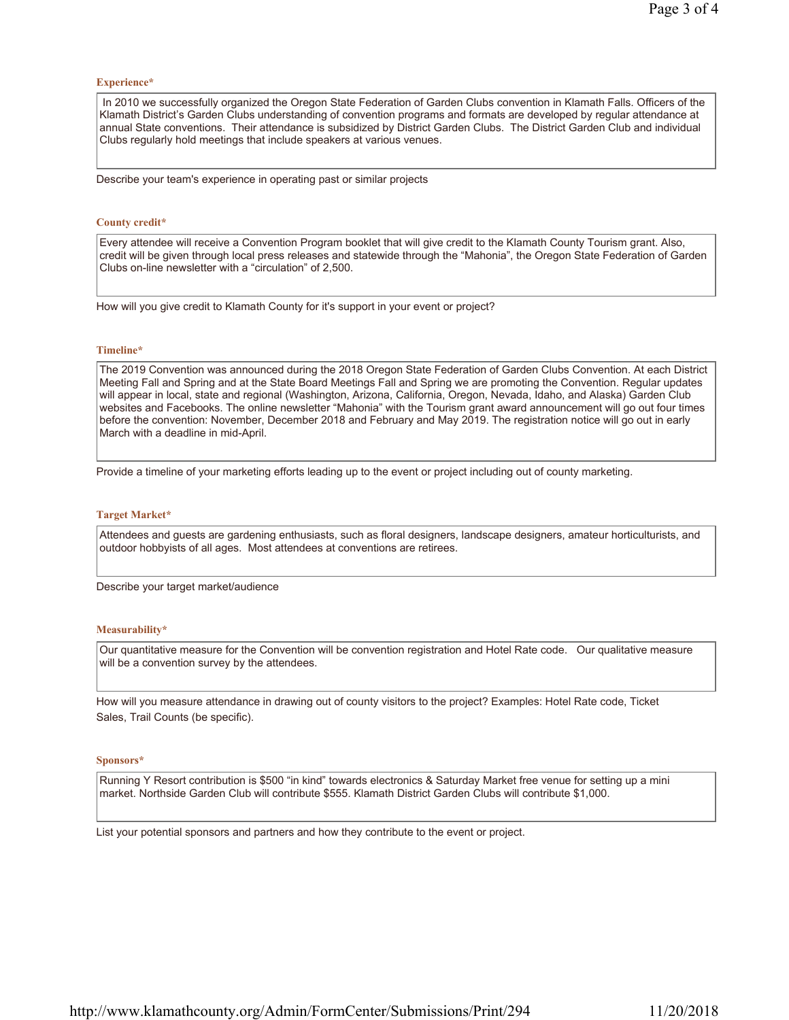#### **Experience\***

 In 2010 we successfully organized the Oregon State Federation of Garden Clubs convention in Klamath Falls. Officers of the Klamath District's Garden Clubs understanding of convention programs and formats are developed by regular attendance at annual State conventions. Their attendance is subsidized by District Garden Clubs. The District Garden Club and individual Clubs regularly hold meetings that include speakers at various venues.

Describe your team's experience in operating past or similar projects

#### **County credit\***

Every attendee will receive a Convention Program booklet that will give credit to the Klamath County Tourism grant. Also, credit will be given through local press releases and statewide through the "Mahonia", the Oregon State Federation of Garden Clubs on-line newsletter with a "circulation" of 2,500.

How will you give credit to Klamath County for it's support in your event or project?

#### **Timeline\***

The 2019 Convention was announced during the 2018 Oregon State Federation of Garden Clubs Convention. At each District Meeting Fall and Spring and at the State Board Meetings Fall and Spring we are promoting the Convention. Regular updates will appear in local, state and regional (Washington, Arizona, California, Oregon, Nevada, Idaho, and Alaska) Garden Club websites and Facebooks. The online newsletter "Mahonia" with the Tourism grant award announcement will go out four times before the convention: November, December 2018 and February and May 2019. The registration notice will go out in early March with a deadline in mid-April.

Provide a timeline of your marketing efforts leading up to the event or project including out of county marketing.

#### **Target Market\***

Attendees and guests are gardening enthusiasts, such as floral designers, landscape designers, amateur horticulturists, and outdoor hobbyists of all ages. Most attendees at conventions are retirees.

Describe your target market/audience

#### **Measurability\***

Our quantitative measure for the Convention will be convention registration and Hotel Rate code. Our qualitative measure will be a convention survey by the attendees.

How will you measure attendance in drawing out of county visitors to the project? Examples: Hotel Rate code, Ticket Sales, Trail Counts (be specific).

#### **Sponsors\***

Running Y Resort contribution is \$500 "in kind" towards electronics & Saturday Market free venue for setting up a mini market. Northside Garden Club will contribute \$555. Klamath District Garden Clubs will contribute \$1,000.

List your potential sponsors and partners and how they contribute to the event or project.